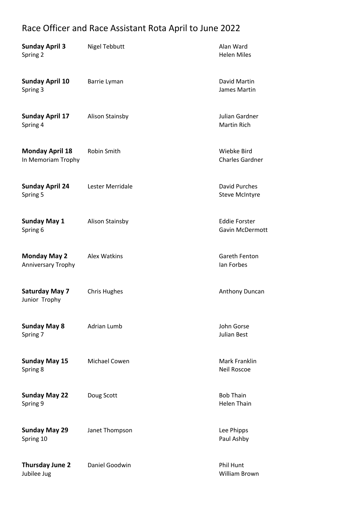## Race Officer and Race Assistant Rota April to June 2022

| <b>Sunday April 3</b><br>Spring 2            | <b>Nigel Tebbutt</b>   | Alan Ward<br><b>Helen Miles</b>                |
|----------------------------------------------|------------------------|------------------------------------------------|
| <b>Sunday April 10</b><br>Spring 3           | Barrie Lyman           | David Martin<br>James Martin                   |
| <b>Sunday April 17</b><br>Spring 4           | Alison Stainsby        | Julian Gardner<br><b>Martin Rich</b>           |
| <b>Monday April 18</b><br>In Memoriam Trophy | Robin Smith            | Wiebke Bird<br><b>Charles Gardner</b>          |
| <b>Sunday April 24</b><br>Spring 5           | Lester Merridale       | <b>David Purches</b><br><b>Steve McIntyre</b>  |
| <b>Sunday May 1</b><br>Spring 6              | <b>Alison Stainsby</b> | <b>Eddie Forster</b><br><b>Gavin McDermott</b> |
| <b>Monday May 2</b><br>Anniversary Trophy    | Alex Watkins           | Gareth Fenton<br>lan Forbes                    |
| <b>Saturday May 7</b><br>Junior Trophy       | <b>Chris Hughes</b>    | Anthony Duncan                                 |
| <b>Sunday May 8</b><br>Spring 7              | <b>Adrian Lumb</b>     | John Gorse<br><b>Julian Best</b>               |
| <b>Sunday May 15</b><br>Spring 8             | <b>Michael Cowen</b>   | Mark Franklin<br><b>Neil Roscoe</b>            |
| <b>Sunday May 22</b><br>Spring 9             | Doug Scott             | <b>Bob Thain</b><br><b>Helen Thain</b>         |
| <b>Sunday May 29</b><br>Spring 10            | Janet Thompson         | Lee Phipps<br>Paul Ashby                       |
| <b>Thursday June 2</b><br>Jubilee Jug        | Daniel Goodwin         | <b>Phil Hunt</b><br>William Brown              |